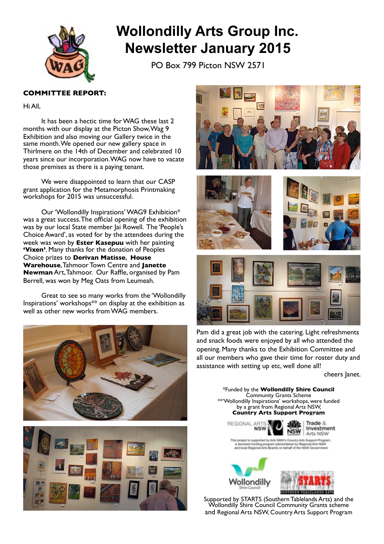

# **Wollondilly Arts Group Inc. Newsletter January 2015**

PO Box 799 Picton NSW 2571

# **COMMITTEE REPORT:**

Hi All,

It has been a hectic time for WAG these last 2 months with our display at the Picton Show,Wag 9 Exhibition and also moving our Gallery twice in the same month. We opened our new gallery space in Thirlmere on the 14th of December and celebrated 10 years since our incorporation.WAG now have to vacate those premises as there is a paying tenant.

We were disappointed to learn that our CASP grant application for the Metamorphosis Printmaking workshops for 2015 was unsuccessful.

Our 'Wollondilly Inspirations' WAG9 Exhibition\* was a great success.The official opening of the exhibition was by our local State member Jai Rowell. The 'People's Choice Award', as voted for by the attendees during the week was won by **Ester Kasepuu** with her painting **'Vixen'**. Many thanks for the donation of Peoples Choice prizes to **Derivan Matisse**, **House Warehouse**,Tahmoor Town Centre and **Janette Newman** Art,Tahmoor. Our Raffle, organised by Pam Berrell, was won by Meg Oats from Leumeah.

Great to see so many works from the 'Wollondilly Inspirations' workshops\*\* on display at the exhibition as well as other new works from WAG members.













Pam did a great job with the catering. Light refreshments and snack foods were enjoyed by all who attended the opening. Many thanks to the Exhibition Committee and all our members who gave their time for roster duty and assistance with setting up etc, well done all!

cheers Janet.

\*Funded by the **Wollondilly Shire Council** Community Grants Scheme \*\*'Wollondilly Inspirations' workshops, were funded by a grant from Regional Arts NSW, **Country Arts Support Program**



Trade & Investment **NSW** Arts NSW

stad by Arts MRW's Country Arts Support By Arts NSW ing program administered by Regional.<br>al Arts Boards on behalf of the NSW G legi





 Supported by STARTS (Southern Tablelands Arts) and the Wollondilly Shire Council Community Grants scheme and Regional Arts NSW, Country Arts Support Program